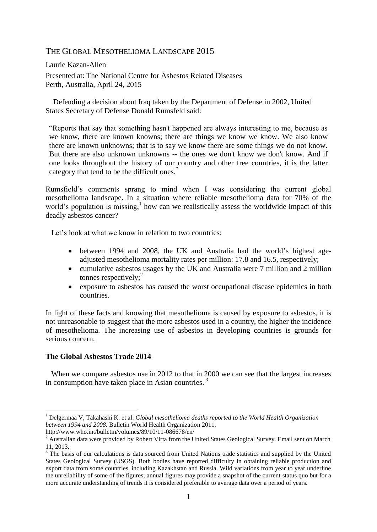# THE GLOBAL MESOTHELIOMA LANDSCAPE 2015

Laurie Kazan-Allen Presented at: The National Centre for Asbestos Related Diseases Perth, Australia, April 24, 2015

 Defending a decision about Iraq taken by the [Department of Defense](http://en.wikipedia.org/wiki/U.S._Department_of_Defense) in 2002, [United](http://en.wikipedia.org/wiki/United_States_Secretary_of_Defense)  [States Secretary of Defense](http://en.wikipedia.org/wiki/United_States_Secretary_of_Defense) [Donald Rumsfeld](http://en.wikipedia.org/wiki/Donald_Rumsfeld) said:

"Reports that say that something hasn't happened are always interesting to me, because as we know, there are known knowns; there are things we know we know. We also know there are known unknowns; that is to say we know there are some things we do not know. But there are also unknown unknowns -- the ones we don't know we don't know. And if one looks throughout the history of our country and other free countries, it is the latter category that tend to be the difficult ones."

Rumsfield's comments sprang to mind when I was considering the current global mesothelioma landscape. In a situation where reliable mesothelioma data for 70% of the world's population is missing, $<sup>1</sup>$  how can we realistically assess the worldwide impact of this</sup> deadly asbestos cancer?

Let's look at what we know in relation to two countries:

- between 1994 and 2008, the UK and Australia had the world's highest ageadjusted mesothelioma mortality rates per million: 17.8 and 16.5, respectively;
- cumulative asbestos usages by the UK and Australia were 7 million and 2 million tonnes respectively;<sup>2</sup>
- exposure to asbestos has caused the worst occupational disease epidemics in both countries.

In light of these facts and knowing that mesothelioma is caused by exposure to asbestos, it is not unreasonable to suggest that the more asbestos used in a country, the higher the incidence of mesothelioma. The increasing use of asbestos in developing countries is grounds for serious concern.

### **The Global Asbestos Trade 2014**

1

 When we compare asbestos use in 2012 to that in 2000 we can see that the largest increases in consumption have taken place in Asian countries.<sup>3</sup>

<sup>1</sup> Delgermaa V, Takahashi K. et al. *Global mesothelioma deaths reported to the World Health Organization between 1994 and 2008.* Bulletin World Health Organization 2011.

<http://www.who.int/bulletin/volumes/89/10/11-086678/en/>

<sup>&</sup>lt;sup>2</sup> Australian data were provided by Robert Virta from the United States Geological Survey. Email sent on March 11, 2013.

<sup>&</sup>lt;sup>3</sup> The basis of our calculations is data sourced from United Nations trade statistics and supplied by the United States Geological Survey (USGS). Both bodies have reported difficulty in obtaining reliable production and export data from some countries, including Kazakhstan and Russia. Wild variations from year to year underline the unreliability of some of the figures; annual figures may provide a snapshot of the current status quo but for a more accurate understanding of trends it is considered preferable to average data over a period of years.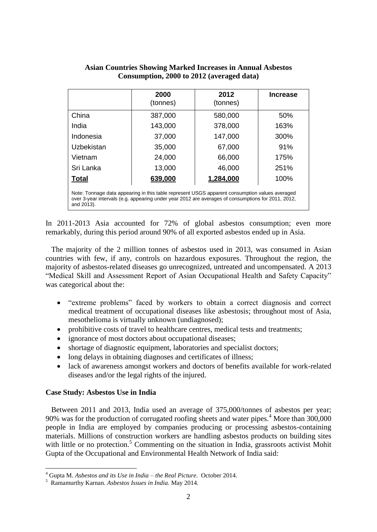| <b>Asian Countries Showing Marked Increases in Annual Asbestos</b> |  |  |  |  |
|--------------------------------------------------------------------|--|--|--|--|
| Consumption, 2000 to 2012 (averaged data)                          |  |  |  |  |
|                                                                    |  |  |  |  |

|                                                                                                                                                                                                                    | 2000<br>(tonnes) | 2012<br>(tonnes) | <b>Increase</b> |  |
|--------------------------------------------------------------------------------------------------------------------------------------------------------------------------------------------------------------------|------------------|------------------|-----------------|--|
| China                                                                                                                                                                                                              | 387,000          | 580,000          | 50%             |  |
| India                                                                                                                                                                                                              | 143,000          | 378,000          | 163%            |  |
| Indonesia                                                                                                                                                                                                          | 37,000           | 147,000          | 300%            |  |
| Uzbekistan                                                                                                                                                                                                         | 35,000           | 67,000           | 91%             |  |
| Vietnam                                                                                                                                                                                                            | 24,000           | 66,000           | 175%            |  |
| Sri Lanka                                                                                                                                                                                                          | 13,000           | 46,000           | 251%            |  |
| <b>Total</b>                                                                                                                                                                                                       | 639,000          | 1,284,000        | 100%            |  |
| Note: Tonnage data appearing in this table represent USGS apparent consumption values averaged<br>over 3-year intervals (e.g. appearing under year 2012 are averages of consumptions for 2011, 2012,<br>and 2013). |                  |                  |                 |  |

In 2011-2013 Asia accounted for 72% of global asbestos consumption; even more remarkably, during this period around 90% of all exported asbestos ended up in Asia.

 The majority of the 2 million tonnes of asbestos used in 2013, was consumed in Asian countries with few, if any, controls on hazardous exposures. Throughout the region, the majority of asbestos-related diseases go unrecognized, untreated and uncompensated. A 2013 "Medical Skill and Assessment Report of Asian Occupational Health and Safety Capacity" was categorical about the:

- "extreme problems" faced by workers to obtain a correct diagnosis and correct medical treatment of occupational diseases like asbestosis; throughout most of Asia, mesothelioma is virtually unknown (undiagnosed);
- prohibitive costs of travel to healthcare centres, medical tests and treatments;
- ignorance of most doctors about occupational diseases;
- shortage of diagnostic equipment, laboratories and specialist doctors;
- long delays in obtaining diagnoses and certificates of illness;
- lack of awareness amongst workers and doctors of benefits available for work-related diseases and/or the legal rights of the injured.

### **Case Study: Asbestos Use in India**

1

 Between 2011 and 2013, India used an average of 375,000/tonnes of asbestos per year; 90% was for the production of corrugated roofing sheets and water pipes.<sup>4</sup> More than 300,000 people in India are employed by companies producing or processing asbestos-containing materials. Millions of construction workers are handling asbestos products on building sites with little or no protection.<sup>5</sup> Commenting on the situation in India, grassroots activist Mohit Gupta of the Occupational and Environmental Health Network of India said:

<sup>4</sup> Gupta M. *Asbestos and its Use in India – the Real Picture*. October 2014.

<sup>5</sup> Ramamurthy Karnan. *Asbestos Issues in India.* May 2014.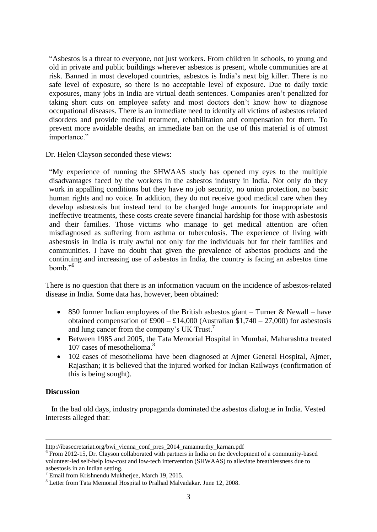"Asbestos is a threat to everyone, not just workers. From children in schools, to young and old in private and public buildings wherever asbestos is present, whole communities are at risk. Banned in most developed countries, asbestos is India's next big killer. There is no safe level of exposure, so there is no acceptable level of exposure. Due to daily toxic exposures, many jobs in India are virtual death sentences. Companies aren't penalized for taking short cuts on employee safety and most doctors don't know how to diagnose occupational diseases. There is an immediate need to identify all victims of asbestos related disorders and provide medical treatment, rehabilitation and compensation for them. To prevent more avoidable deaths, an immediate ban on the use of this material is of utmost importance."

Dr. Helen Clayson seconded these views:

"My experience of running the SHWAAS study has opened my eyes to the multiple disadvantages faced by the workers in the asbestos industry in India. Not only do they work in appalling conditions but they have no job security, no union protection, no basic human rights and no voice. In addition, they do not receive good medical care when they develop asbestosis but instead tend to be charged huge amounts for inappropriate and ineffective treatments, these costs create severe financial hardship for those with asbestosis and their families. Those victims who manage to get medical attention are often misdiagnosed as suffering from asthma or tuberculosis. The experience of living with asbestosis in India is truly awful not only for the individuals but for their families and communities. I have no doubt that given the prevalence of asbestos products and the continuing and increasing use of asbestos in India, the country is facing an asbestos time bomb."<sup>6</sup>

There is no question that there is an information vacuum on the incidence of asbestos-related disease in India. Some data has, however, been obtained:

- 850 former Indian employees of the British asbestos giant Turner & Newall have obtained compensation of  $\text{\pounds}900 - \text{\pounds}14,000$  (Australian \$1,740 – 27,000) for asbestosis and lung cancer from the company's UK Trust. 7
- Between 1985 and 2005, the Tata Memorial Hospital in Mumbai, Maharashtra treated 107 cases of mesothelioma.<sup>8</sup>
- 102 cases of mesothelioma have been diagnosed at Ajmer General Hospital, Ajmer, Rajasthan; it is believed that the injured worked for Indian Railways (confirmation of this is being sought).

### **Discussion**

1

 In the bad old days, industry propaganda dominated the asbestos dialogue in India. Vested interests alleged that:

http://ibasecretariat.org/bwi\_vienna\_conf\_pres\_2014\_ramamurthy\_karnan.pdf

<sup>&</sup>lt;sup>6</sup> From 2012-15, Dr. Clayson collaborated with partners in India on the development of a community-based volunteer-led self-help low-cost and low-tech intervention (SHWAAS) to alleviate breathlessness due to asbestosis in an Indian setting.

<sup>7</sup> Email from Krishnendu Mukherjee, March 19, 2015.

<sup>8</sup> Letter from Tata Memorial Hospital to Pralhad Malvadakar. June 12, 2008.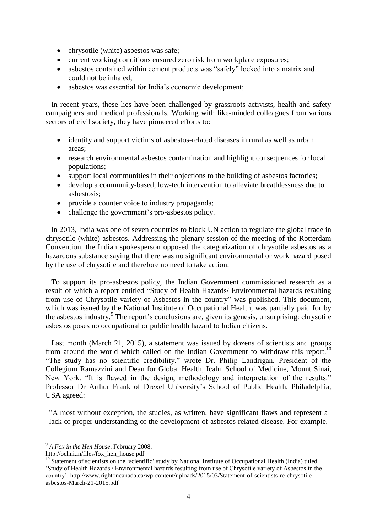- chrysotile (white) asbestos was safe;
- current working conditions ensured zero risk from workplace exposures;
- asbestos contained within cement products was "safely" locked into a matrix and could not be inhaled;
- asbestos was essential for India's economic development;

 In recent years, these lies have been challenged by grassroots activists, health and safety campaigners and medical professionals. Working with like-minded colleagues from various sectors of civil society, they have pioneered efforts to:

- identify and support victims of asbestos-related diseases in rural as well as urban areas;
- research environmental asbestos contamination and highlight consequences for local populations;
- support local communities in their objections to the building of asbestos factories;
- develop a community-based, low-tech intervention to alleviate breathlessness due to asbestosis;
- provide a counter voice to industry propaganda;
- challenge the government's pro-asbestos policy.

 In 2013, India was one of seven countries to block UN action to regulate the global trade in chrysotile (white) asbestos. Addressing the plenary session of the meeting of the Rotterdam Convention, the Indian spokesperson opposed the categorization of chrysotile asbestos as a hazardous substance saying that there was no significant environmental or work hazard posed by the use of chrysotile and therefore no need to take action.

 To support its pro-asbestos policy, the Indian Government commissioned research as a result of which a report entitled ["Study of Health Hazards/ Environmental hazards resulting](http://chemicals.nic.in/Asbestos_%20NIOH_May%202012.pdf)  [from use of Chrysotile variety of Asbestos in the country](http://chemicals.nic.in/Asbestos_%20NIOH_May%202012.pdf)" was published. This document, which was issued by the National Institute of Occupational Health, was partially paid for by the asbestos industry. 9 The report's conclusions are, given its genesis, unsurprising: chrysotile asbestos poses no occupational or public health hazard to Indian citizens.

 Last month (March 21, 2015), a statement was issued by dozens of scientists and groups from around the world which called on the Indian Government to withdraw this report.<sup>10</sup> "The study has no scientific credibility," wrote Dr. Philip Landrigan, President of the Collegium Ramazzini and Dean for Global Health, Icahn School of Medicine, Mount Sinai, New York. "It is flawed in the design, methodology and interpretation of the results." Professor Dr Arthur Frank of Drexel University's School of Public Health, Philadelphia, USA agreed:

"Almost without exception, the studies, as written, have significant flaws and represent a lack of proper understanding of the development of asbestos related disease. For example,

1

<sup>9</sup> *A Fox in the Hen House*. February 2008.

http://oehni.in/files/fox\_hen\_house.pdf

 $10$  Statement of scientists on the 'scientific' study by National Institute of Occupational Health (India) titled 'Study of Health Hazards / Environmental hazards resulting from use of Chrysotile variety of Asbestos in the country'. http://www.rightoncanada.ca/wp-content/uploads/2015/03/Statement-of-scientists-re-chrysotileasbestos-March-21-2015.pdf